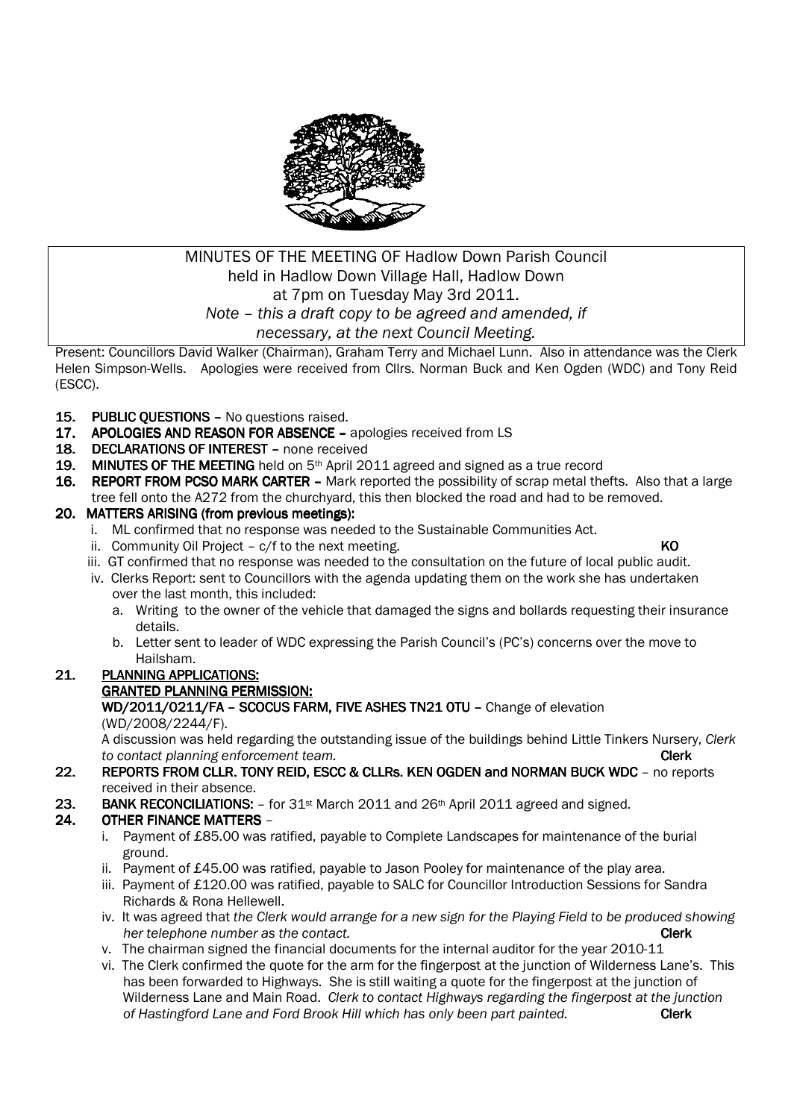

# MINUTES OF THE MEETING OF Hadlow Down Parish Council held in Hadlow Down Village Hall, Hadlow Down at 7pm on Tuesday May 3rd 2011. *Note – this a draft copy to be agreed and amended, if necessary, at the next Council Meeting.*

Present: Councillors David Walker (Chairman), Graham Terry and Michael Lunn. Also in attendance was the Clerk Helen Simpson-Wells. Apologies were received from Cllrs. Norman Buck and Ken Ogden (WDC) and Tony Reid (ESCC).

- 15. PUBLIC OUESTIONS No questions raised.
- 17. APOLOGIES AND REASON FOR ABSENCE apologies received from LS
- 18. DECLARATIONS OF INTEREST none received
- 19. MINUTES OF THE MEETING held on  $5<sup>th</sup>$  April 2011 agreed and signed as a true record
- 16. REPORT FROM PCSO MARK CARTER Mark reported the possibility of scrap metal thefts. Also that a large tree fell onto the A272 from the churchyard, this then blocked the road and had to be removed.

# 20. MATTERS ARISING (from previous meetings):

- i. ML confirmed that no response was needed to the Sustainable Communities Act.
- ii. Community Oil Project  $c/f$  to the next meeting.  $KO$
- iii. GT confirmed that no response was needed to the consultation on the future of local public audit.
- iv. Clerks Report: sent to Councillors with the agenda updating them on the work she has undertaken over the last month, this included:
	- a. Writing to the owner of the vehicle that damaged the signs and bollards requesting their insurance details.
	- b. Letter sent to leader of WDC expressing the Parish Council's (PC's) concerns over the move to Hailsham.
- 21. PLANNING APPLICATIONS:

# GRANTED PLANNING PERMISSION: GRANTED PERMISSION:

## WD/2011/0211/FA - SCOCUS FARM, FIVE ASHES TN21 OTU - Change of elevation (WD/2008/2244/F).

 A discussion was held regarding the outstanding issue of the buildings behind Little Tinkers Nursery, *Clerk to contact planning enforcement team.* Clerk

22. REPORTS FROM CLLR. TONY REID, ESCC & CLLRS. KEN OGDEN and NORMAN BUCK WDC - no reports received in their absence.

## 23. BANK RECONCILIATIONS:  $-$  for 31<sup>st</sup> March 2011 and 26<sup>th</sup> April 2011 agreed and signed.

# 24. OTHER FINANCE MATTERS -

- i. Payment of £85.00 was ratified, payable to Complete Landscapes for maintenance of the burial ground.
- ii. Payment of £45.00 was ratified, payable to Jason Pooley for maintenance of the play area.
- iii. Payment of £120.00 was ratified, payable to SALC for Councillor Introduction Sessions for Sandra Richards & Rona Hellewell.
- iv. It was agreed that *the Clerk would arrange for a new sign for the Playing Field to be produced showing her telephone number as the contact.* **Clerk Clerk**
- v. The chairman signed the financial documents for the internal auditor for the year 2010-11
- vi. The Clerk confirmed the quote for the arm for the fingerpost at the junction of Wilderness Lane's. This has been forwarded to Highways. She is still waiting a quote for the fingerpost at the junction of Wilderness Lane and Main Road. *Clerk to contact Highways regarding the fingerpost at the junction*  of Hastingford Lane and Ford Brook Hill which has only been part painted. **Clerk**